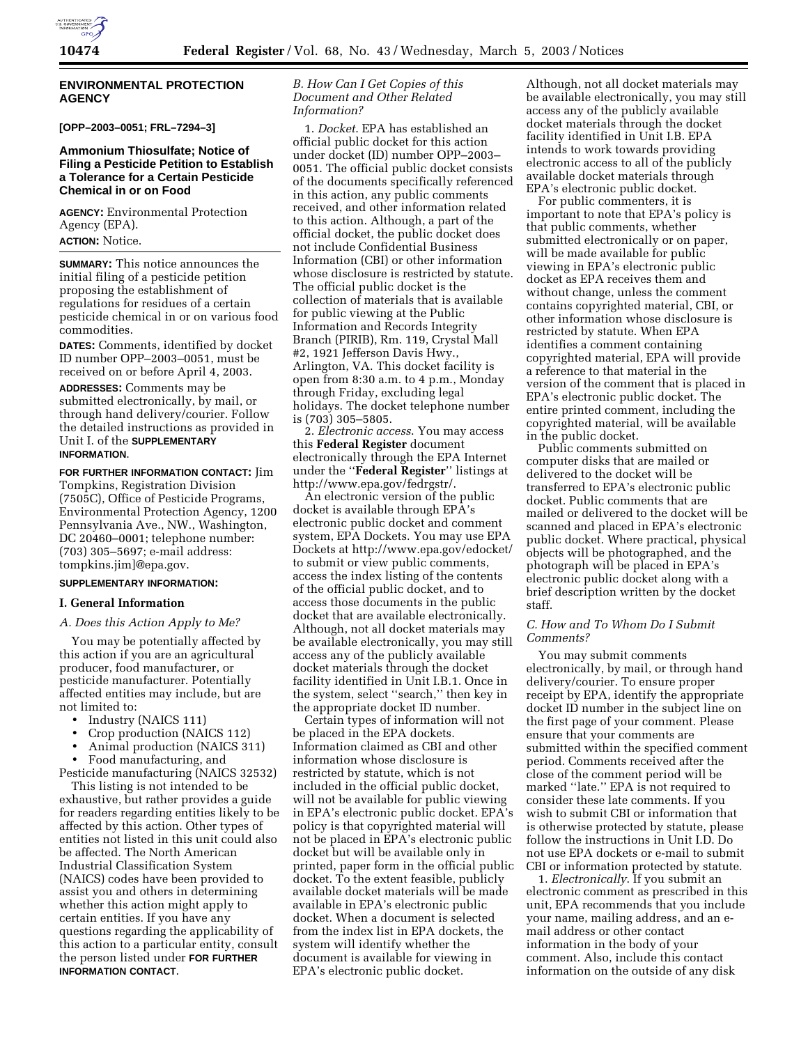

### **ENVIRONMENTAL PROTECTION AGENCY**

**[OPP–2003–0051; FRL–7294–3]** 

## **Ammonium Thiosulfate; Notice of Filing a Pesticide Petition to Establish a Tolerance for a Certain Pesticide Chemical in or on Food**

**AGENCY:** Environmental Protection Agency (EPA). **ACTION:** Notice.

**SUMMARY:** This notice announces the initial filing of a pesticide petition proposing the establishment of regulations for residues of a certain pesticide chemical in or on various food commodities.

**DATES:** Comments, identified by docket ID number OPP–2003–0051, must be received on or before April 4, 2003.

**ADDRESSES:** Comments may be submitted electronically, by mail, or through hand delivery/courier. Follow the detailed instructions as provided in Unit I. of the **SUPPLEMENTARY INFORMATION**.

**FOR FURTHER INFORMATION CONTACT:** Jim Tompkins, Registration Division (7505C), Office of Pesticide Programs, Environmental Protection Agency, 1200 Pennsylvania Ave., NW., Washington, DC 20460–0001; telephone number: (703) 305–5697; e-mail address: tompkins.jim]@epa.gov.

# **SUPPLEMENTARY INFORMATION:**

### **I. General Information**

## *A. Does this Action Apply to Me?*

You may be potentially affected by this action if you are an agricultural producer, food manufacturer, or pesticide manufacturer. Potentially affected entities may include, but are not limited to:

- Industry (NAICS 111)
- Crop production (NAICS 112)
- Animal production (NAICS 311)

• Food manufacturing, and Pesticide manufacturing (NAICS 32532)

This listing is not intended to be exhaustive, but rather provides a guide for readers regarding entities likely to be affected by this action. Other types of entities not listed in this unit could also be affected. The North American Industrial Classification System (NAICS) codes have been provided to assist you and others in determining whether this action might apply to certain entities. If you have any questions regarding the applicability of this action to a particular entity, consult the person listed under **FOR FURTHER INFORMATION CONTACT**.

## *B. How Can I Get Copies of this Document and Other Related Information?*

1. *Docket*. EPA has established an official public docket for this action under docket (ID) number OPP–2003– 0051. The official public docket consists of the documents specifically referenced in this action, any public comments received, and other information related to this action. Although, a part of the official docket, the public docket does not include Confidential Business Information (CBI) or other information whose disclosure is restricted by statute. The official public docket is the collection of materials that is available for public viewing at the Public Information and Records Integrity Branch (PIRIB), Rm. 119, Crystal Mall #2, 1921 Jefferson Davis Hwy., Arlington, VA. This docket facility is open from 8:30 a.m. to 4 p.m., Monday through Friday, excluding legal holidays. The docket telephone number is (703) 305–5805.

2. *Electronic access*. You may access this **Federal Register** document electronically through the EPA Internet under the ''**Federal Register**'' listings at http://www.epa.gov/fedrgstr/.

An electronic version of the public docket is available through EPA's electronic public docket and comment system, EPA Dockets. You may use EPA Dockets at http://www.epa.gov/edocket/ to submit or view public comments, access the index listing of the contents of the official public docket, and to access those documents in the public docket that are available electronically. Although, not all docket materials may be available electronically, you may still access any of the publicly available docket materials through the docket facility identified in Unit I.B.1. Once in the system, select ''search,'' then key in the appropriate docket ID number.

Certain types of information will not be placed in the EPA dockets. Information claimed as CBI and other information whose disclosure is restricted by statute, which is not included in the official public docket, will not be available for public viewing in EPA's electronic public docket. EPA's policy is that copyrighted material will not be placed in EPA's electronic public docket but will be available only in printed, paper form in the official public docket. To the extent feasible, publicly available docket materials will be made available in EPA's electronic public docket. When a document is selected from the index list in EPA dockets, the system will identify whether the document is available for viewing in EPA's electronic public docket.

Although, not all docket materials may be available electronically, you may still access any of the publicly available docket materials through the docket facility identified in Unit I.B. EPA intends to work towards providing electronic access to all of the publicly available docket materials through EPA's electronic public docket.

For public commenters, it is important to note that EPA's policy is that public comments, whether submitted electronically or on paper, will be made available for public viewing in EPA's electronic public docket as EPA receives them and without change, unless the comment contains copyrighted material, CBI, or other information whose disclosure is restricted by statute. When EPA identifies a comment containing copyrighted material, EPA will provide a reference to that material in the version of the comment that is placed in EPA's electronic public docket. The entire printed comment, including the copyrighted material, will be available in the public docket.

Public comments submitted on computer disks that are mailed or delivered to the docket will be transferred to EPA's electronic public docket. Public comments that are mailed or delivered to the docket will be scanned and placed in EPA's electronic public docket. Where practical, physical objects will be photographed, and the photograph will be placed in EPA's electronic public docket along with a brief description written by the docket staff.

## *C. How and To Whom Do I Submit Comments?*

You may submit comments electronically, by mail, or through hand delivery/courier. To ensure proper receipt by EPA, identify the appropriate docket ID number in the subject line on the first page of your comment. Please ensure that your comments are submitted within the specified comment period. Comments received after the close of the comment period will be marked ''late.'' EPA is not required to consider these late comments. If you wish to submit CBI or information that is otherwise protected by statute, please follow the instructions in Unit I.D. Do not use EPA dockets or e-mail to submit CBI or information protected by statute.

1. *Electronically*. If you submit an electronic comment as prescribed in this unit, EPA recommends that you include your name, mailing address, and an email address or other contact information in the body of your comment. Also, include this contact information on the outside of any disk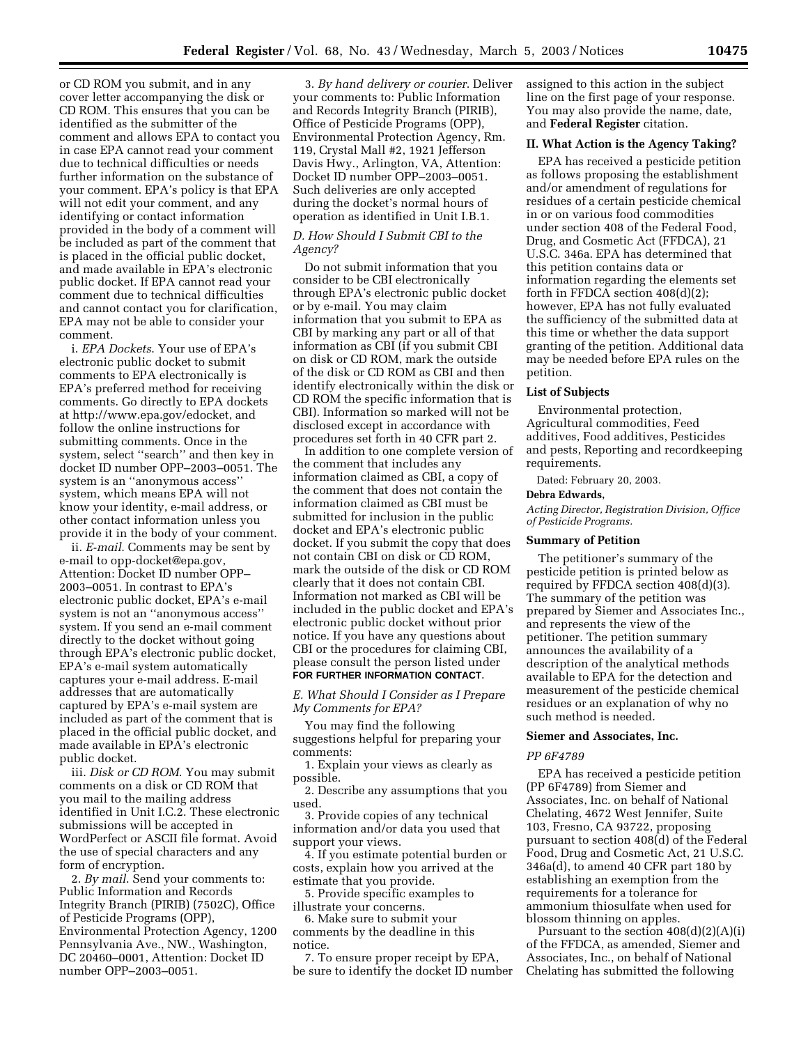or CD ROM you submit, and in any cover letter accompanying the disk or CD ROM. This ensures that you can be identified as the submitter of the comment and allows EPA to contact you in case EPA cannot read your comment due to technical difficulties or needs further information on the substance of your comment. EPA's policy is that EPA will not edit your comment, and any identifying or contact information provided in the body of a comment will be included as part of the comment that is placed in the official public docket, and made available in EPA's electronic public docket. If EPA cannot read your comment due to technical difficulties and cannot contact you for clarification, EPA may not be able to consider your comment.

i. *EPA Dockets*. Your use of EPA's electronic public docket to submit comments to EPA electronically is EPA's preferred method for receiving comments. Go directly to EPA dockets at http://www.epa.gov/edocket, and follow the online instructions for submitting comments. Once in the system, select ''search'' and then key in docket ID number OPP–2003–0051. The system is an ''anonymous access'' system, which means EPA will not know your identity, e-mail address, or other contact information unless you provide it in the body of your comment.

ii. *E-mail*. Comments may be sent by e-mail to opp-docket@epa.gov, Attention: Docket ID number OPP– 2003–0051. In contrast to EPA's electronic public docket, EPA's e-mail system is not an ''anonymous access'' system. If you send an e-mail comment directly to the docket without going through EPA's electronic public docket, EPA's e-mail system automatically captures your e-mail address. E-mail addresses that are automatically captured by EPA's e-mail system are included as part of the comment that is placed in the official public docket, and made available in EPA's electronic public docket.

iii. *Disk or CD ROM*. You may submit comments on a disk or CD ROM that you mail to the mailing address identified in Unit I.C.2. These electronic submissions will be accepted in WordPerfect or ASCII file format. Avoid the use of special characters and any form of encryption.

2. *By mail*. Send your comments to: Public Information and Records Integrity Branch (PIRIB) (7502C), Office of Pesticide Programs (OPP), Environmental Protection Agency, 1200 Pennsylvania Ave., NW., Washington, DC 20460–0001, Attention: Docket ID number OPP–2003–0051.

3. *By hand delivery or courier*. Deliver your comments to: Public Information and Records Integrity Branch (PIRIB), Office of Pesticide Programs (OPP), Environmental Protection Agency, Rm. 119, Crystal Mall #2, 1921 Jefferson Davis Hwy., Arlington, VA, Attention: Docket ID number OPP–2003–0051. Such deliveries are only accepted during the docket's normal hours of operation as identified in Unit I.B.1.

## *D. How Should I Submit CBI to the Agency?*

Do not submit information that you consider to be CBI electronically through EPA's electronic public docket or by e-mail. You may claim information that you submit to EPA as CBI by marking any part or all of that information as CBI (if you submit CBI on disk or CD ROM, mark the outside of the disk or CD ROM as CBI and then identify electronically within the disk or CD ROM the specific information that is CBI). Information so marked will not be disclosed except in accordance with procedures set forth in 40 CFR part 2.

In addition to one complete version of the comment that includes any information claimed as CBI, a copy of the comment that does not contain the information claimed as CBI must be submitted for inclusion in the public docket and EPA's electronic public docket. If you submit the copy that does not contain CBI on disk or CD ROM, mark the outside of the disk or CD ROM clearly that it does not contain CBI. Information not marked as CBI will be included in the public docket and EPA's electronic public docket without prior notice. If you have any questions about CBI or the procedures for claiming CBI, please consult the person listed under **FOR FURTHER INFORMATION CONTACT**.

## *E. What Should I Consider as I Prepare My Comments for EPA?*

You may find the following suggestions helpful for preparing your comments:

1. Explain your views as clearly as possible.

2. Describe any assumptions that you used.

3. Provide copies of any technical information and/or data you used that support your views.

4. If you estimate potential burden or costs, explain how you arrived at the estimate that you provide.

5. Provide specific examples to illustrate your concerns.

6. Make sure to submit your comments by the deadline in this notice.

7. To ensure proper receipt by EPA, be sure to identify the docket ID number assigned to this action in the subject line on the first page of your response. You may also provide the name, date, and **Federal Register** citation.

#### **II. What Action is the Agency Taking?**

EPA has received a pesticide petition as follows proposing the establishment and/or amendment of regulations for residues of a certain pesticide chemical in or on various food commodities under section 408 of the Federal Food, Drug, and Cosmetic Act (FFDCA), 21 U.S.C. 346a. EPA has determined that this petition contains data or information regarding the elements set forth in FFDCA section 408(d)(2); however, EPA has not fully evaluated the sufficiency of the submitted data at this time or whether the data support granting of the petition. Additional data may be needed before EPA rules on the petition.

#### **List of Subjects**

Environmental protection, Agricultural commodities, Feed additives, Food additives, Pesticides and pests, Reporting and recordkeeping requirements.

Dated: February 20, 2003.

#### **Debra Edwards,**

*Acting Director, Registration Division, Office of Pesticide Programs.*

### **Summary of Petition**

The petitioner's summary of the pesticide petition is printed below as required by FFDCA section 408(d)(3). The summary of the petition was prepared by Siemer and Associates Inc., and represents the view of the petitioner. The petition summary announces the availability of a description of the analytical methods available to EPA for the detection and measurement of the pesticide chemical residues or an explanation of why no such method is needed.

### **Siemer and Associates, Inc.**

#### *PP 6F4789*

EPA has received a pesticide petition (PP 6F4789) from Siemer and Associates, Inc. on behalf of National Chelating, 4672 West Jennifer, Suite 103, Fresno, CA 93722, proposing pursuant to section 408(d) of the Federal Food, Drug and Cosmetic Act, 21 U.S.C. 346a(d), to amend 40 CFR part 180 by establishing an exemption from the requirements for a tolerance for ammonium thiosulfate when used for blossom thinning on apples.

Pursuant to the section 408(d)(2)(A)(i) of the FFDCA, as amended, Siemer and Associates, Inc., on behalf of National Chelating has submitted the following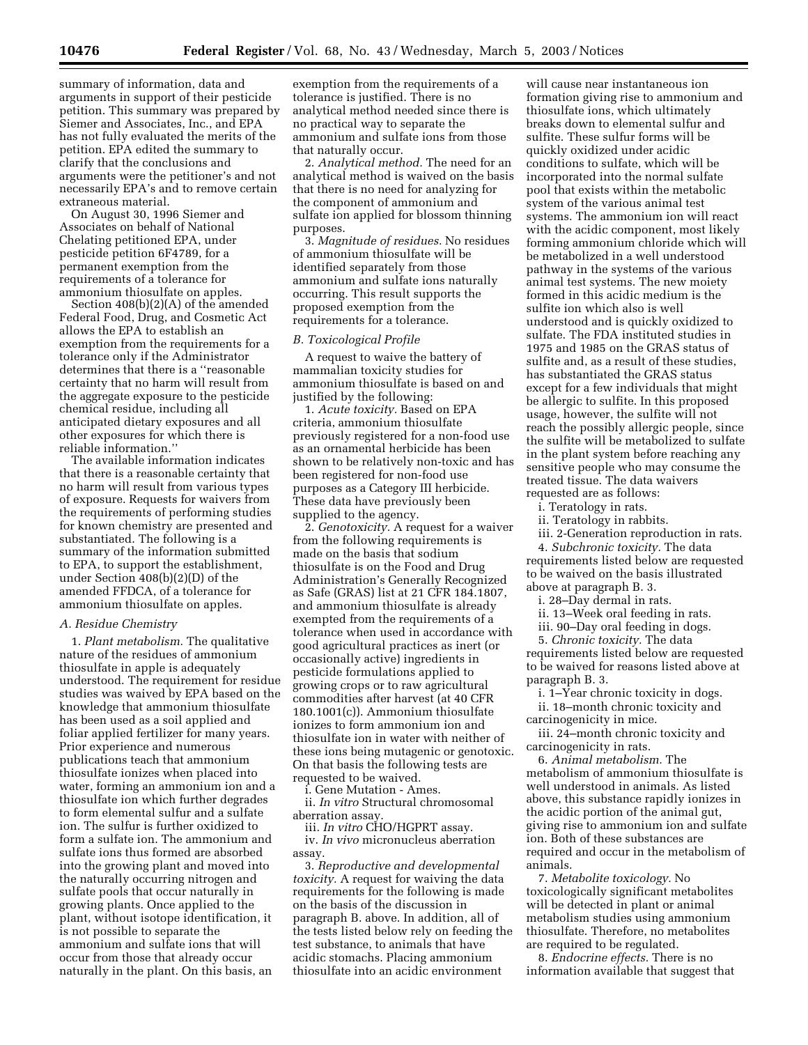summary of information, data and arguments in support of their pesticide petition. This summary was prepared by Siemer and Associates, Inc., and EPA has not fully evaluated the merits of the petition. EPA edited the summary to clarify that the conclusions and arguments were the petitioner's and not necessarily EPA's and to remove certain extraneous material.

On August 30, 1996 Siemer and Associates on behalf of National Chelating petitioned EPA, under pesticide petition 6F4789, for a permanent exemption from the requirements of a tolerance for ammonium thiosulfate on apples.

Section 408(b)(2)(A) of the amended Federal Food, Drug, and Cosmetic Act allows the EPA to establish an exemption from the requirements for a tolerance only if the Administrator determines that there is a ''reasonable certainty that no harm will result from the aggregate exposure to the pesticide chemical residue, including all anticipated dietary exposures and all other exposures for which there is reliable information.''

The available information indicates that there is a reasonable certainty that no harm will result from various types of exposure. Requests for waivers from the requirements of performing studies for known chemistry are presented and substantiated. The following is a summary of the information submitted to EPA, to support the establishment, under Section 408(b)(2)(D) of the amended FFDCA, of a tolerance for ammonium thiosulfate on apples.

#### *A. Residue Chemistry*

1. *Plant metabolism.* The qualitative nature of the residues of ammonium thiosulfate in apple is adequately understood. The requirement for residue studies was waived by EPA based on the knowledge that ammonium thiosulfate has been used as a soil applied and foliar applied fertilizer for many years. Prior experience and numerous publications teach that ammonium thiosulfate ionizes when placed into water, forming an ammonium ion and a thiosulfate ion which further degrades to form elemental sulfur and a sulfate ion. The sulfur is further oxidized to form a sulfate ion. The ammonium and sulfate ions thus formed are absorbed into the growing plant and moved into the naturally occurring nitrogen and sulfate pools that occur naturally in growing plants. Once applied to the plant, without isotope identification, it is not possible to separate the ammonium and sulfate ions that will occur from those that already occur naturally in the plant. On this basis, an

exemption from the requirements of a tolerance is justified. There is no analytical method needed since there is no practical way to separate the ammonium and sulfate ions from those that naturally occur.

2. *Analytical method.* The need for an analytical method is waived on the basis that there is no need for analyzing for the component of ammonium and sulfate ion applied for blossom thinning purposes.

3. *Magnitude of residues.* No residues of ammonium thiosulfate will be identified separately from those ammonium and sulfate ions naturally occurring. This result supports the proposed exemption from the requirements for a tolerance.

#### *B. Toxicological Profile*

A request to waive the battery of mammalian toxicity studies for ammonium thiosulfate is based on and justified by the following:

1. *Acute toxicity.* Based on EPA criteria, ammonium thiosulfate previously registered for a non-food use as an ornamental herbicide has been shown to be relatively non-toxic and has been registered for non-food use purposes as a Category III herbicide. These data have previously been supplied to the agency.

2. *Genotoxicity.* A request for a waiver from the following requirements is made on the basis that sodium thiosulfate is on the Food and Drug Administration's Generally Recognized as Safe (GRAS) list at 21 CFR 184.1807, and ammonium thiosulfate is already exempted from the requirements of a tolerance when used in accordance with good agricultural practices as inert (or occasionally active) ingredients in pesticide formulations applied to growing crops or to raw agricultural commodities after harvest (at 40 CFR 180.1001(c)). Ammonium thiosulfate ionizes to form ammonium ion and thiosulfate ion in water with neither of these ions being mutagenic or genotoxic. On that basis the following tests are requested to be waived.

i. Gene Mutation - Ames.

ii. *In vitro* Structural chromosomal aberration assay.

iii. *In vitro* CHO/HGPRT assay. iv. *In vivo* micronucleus aberration assay.

3. *Reproductive and developmental toxicity.* A request for waiving the data requirements for the following is made on the basis of the discussion in paragraph B. above. In addition, all of the tests listed below rely on feeding the test substance, to animals that have acidic stomachs. Placing ammonium thiosulfate into an acidic environment

will cause near instantaneous ion formation giving rise to ammonium and thiosulfate ions, which ultimately breaks down to elemental sulfur and sulfite. These sulfur forms will be quickly oxidized under acidic conditions to sulfate, which will be incorporated into the normal sulfate pool that exists within the metabolic system of the various animal test systems. The ammonium ion will react with the acidic component, most likely forming ammonium chloride which will be metabolized in a well understood pathway in the systems of the various animal test systems. The new moiety formed in this acidic medium is the sulfite ion which also is well understood and is quickly oxidized to sulfate. The FDA instituted studies in 1975 and 1985 on the GRAS status of sulfite and, as a result of these studies, has substantiated the GRAS status except for a few individuals that might be allergic to sulfite. In this proposed usage, however, the sulfite will not reach the possibly allergic people, since the sulfite will be metabolized to sulfate in the plant system before reaching any sensitive people who may consume the treated tissue. The data waivers requested are as follows:

i. Teratology in rats.

ii. Teratology in rabbits.

iii. 2-Generation reproduction in rats. 4. *Subchronic toxicity.* The data requirements listed below are requested to be waived on the basis illustrated above at paragraph B. 3.

i. 28–Day dermal in rats.

ii. 13–Week oral feeding in rats.

iii. 90–Day oral feeding in dogs.

5. *Chronic toxicity.* The data requirements listed below are requested to be waived for reasons listed above at paragraph B. 3.

i. 1–Year chronic toxicity in dogs.

ii. 18–month chronic toxicity and carcinogenicity in mice.

iii. 24–month chronic toxicity and carcinogenicity in rats.

6. *Animal metabolism.* The metabolism of ammonium thiosulfate is well understood in animals. As listed above, this substance rapidly ionizes in the acidic portion of the animal gut, giving rise to ammonium ion and sulfate ion. Both of these substances are required and occur in the metabolism of animals.

7. *Metabolite toxicology.* No toxicologically significant metabolites will be detected in plant or animal metabolism studies using ammonium thiosulfate. Therefore, no metabolites are required to be regulated.

8. *Endocrine effects.* There is no information available that suggest that